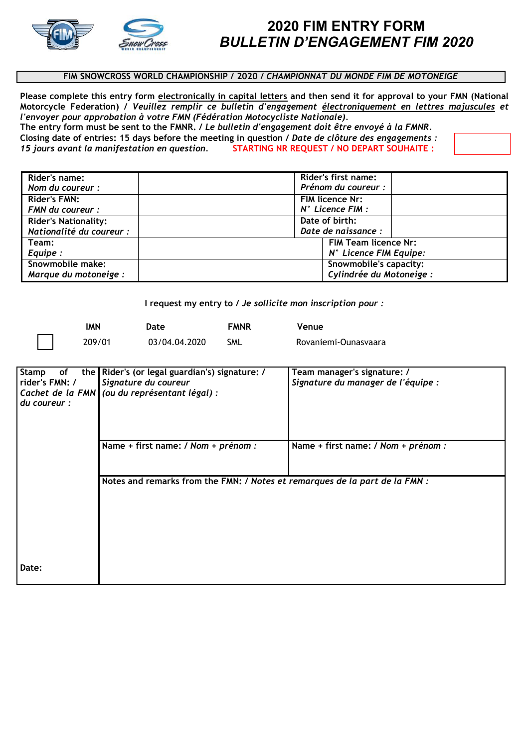

# **2020 FIM ENTRY FORM**  *BULLETIN D'ENGAGEMENT FIM 2020*

### **FIM SNOWCROSS WORLD CHAMPIONSHIP / 2020 /** *CHAMPIONNAT DU MONDE FIM DE MOTONEIGE*

**Please complete this entry form electronically in capital letters and then send it for approval to your FMN (National Motorcycle Federation) /** *Veuillez remplir ce bulletin d'engagement électroniquement en lettres majuscules et l'envoyer pour approbation à votre FMN (Fédération Motocycliste Nationale).* 

**The entry form must be sent to the FMNR. /** *Le bulletin d'engagement doit être envoyé à la FMNR.*  **Closing date of entries: 15 days before the meeting in question /** *Date de clôture des engagements : 15 jours avant la manifestation en question.* **STARTING NR REQUEST / NO DEPART SOUHAITE :**

| Rider's name:               | <b>Rider's first name:</b>  |  |
|-----------------------------|-----------------------------|--|
| Nom du coureur :            | Prénom du coureur :         |  |
| <b>Rider's FMN:</b>         | FIM licence Nr:             |  |
| <b>FMN</b> du coureur :     | $N^{\circ}$ Licence FIM :   |  |
| <b>Rider's Nationality:</b> | Date of birth:              |  |
| Nationalité du coureur :    | Date de naissance :         |  |
| Team:                       | <b>FIM Team licence Nr:</b> |  |
| Equipe :                    | N° Licence FIM Equipe:      |  |
| Snowmobile make:            | Snowmobile's capacity:      |  |
| Marque du motoneige :       | Cylindrée du Motoneige :    |  |

**I request my entry to /** *Je sollicite mon inscription pour :* 

| IMN    | Date          | <b>FMNR</b> | Venue                |
|--------|---------------|-------------|----------------------|
| 209/01 | 03/04.04.2020 | SML         | Rovaniemi-Ounasvaara |

| <b>Stamp</b><br>of<br>rider's FMN: / | the   Rider's (or legal guardian's) signature: /<br>Signature du coureur<br>Cachet de la FMN (ou du représentant légal) : | Team manager's signature: /<br>Signature du manager de l'équipe : |
|--------------------------------------|---------------------------------------------------------------------------------------------------------------------------|-------------------------------------------------------------------|
| du coureur :                         |                                                                                                                           |                                                                   |
|                                      |                                                                                                                           |                                                                   |
|                                      | Name + first name: / Nom + prénom :                                                                                       | Name + first name: / Nom + prénom :                               |
|                                      |                                                                                                                           |                                                                   |
|                                      | Notes and remarks from the FMN: / Notes et remarques de la part de la FMN :                                               |                                                                   |
|                                      |                                                                                                                           |                                                                   |
|                                      |                                                                                                                           |                                                                   |
|                                      |                                                                                                                           |                                                                   |
|                                      |                                                                                                                           |                                                                   |
| Date:                                |                                                                                                                           |                                                                   |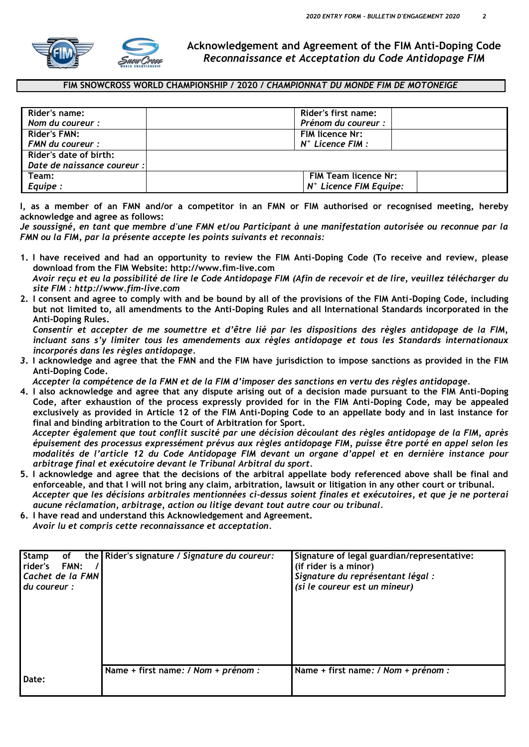



**Acknowledgement and Agreement of the FIM Anti-Doping Code** *Reconnaissance et Acceptation du Code Antidopage FIM*

### **FIM SNOWCROSS WORLD CHAMPIONSHIP / 2020 /** *CHAMPIONNAT DU MONDE FIM DE MOTONEIGE*

| Rider's name:               | Rider's first name:         |
|-----------------------------|-----------------------------|
| Nom du coureur :            | Prénom du coureur :         |
| <b>Rider's FMN:</b>         | <b>FIM licence Nr:</b>      |
| <b>FMN</b> du coureur :     | $N^{\circ}$ Licence FIM :   |
| Rider's date of birth:      |                             |
| Date de naissance coureur : |                             |
| Team:                       | <b>FIM Team licence Nr:</b> |
| Equipe :                    | N° Licence FIM Equipe:      |

**I, as a member of an FMN and/or a competitor in an FMN or FIM authorised or recognised meeting, hereby acknowledge and agree as follows:** 

*Je soussigné, en tant que membre d'une FMN et/ou Participant à une manifestation autorisée ou reconnue par la FMN ou la FIM, par la présente accepte les points suivants et reconnais:* 

- **1. I have received and had an opportunity to review the FIM Anti-Doping Code (To receive and review, please download from the FIM Website: http://www.fim-live.com** *Avoir reçu et eu la possibilité de lire le Code Antidopage FIM (Afin de recevoir et de lire, veuillez télécharger du site FIM : http://www.fim-live.com*
- **2. I consent and agree to comply with and be bound by all of the provisions of the FIM Anti-Doping Code, including but not limited to, all amendments to the Anti-Doping Rules and all International Standards incorporated in the Anti-Doping Rules.**

*Consentir et accepter de me soumettre et d'être lié par les dispositions des règles antidopage de la FIM, incluant sans s'y limiter tous les amendements aux règles antidopage et tous les Standards internationaux incorporés dans les règles antidopage.*

*3***. I acknowledge and agree that the FMN and the FIM have jurisdiction to impose sanctions as provided in the FIM Anti-Doping Code.**

*Accepter la compétence de la FMN et de la FIM d'imposer des sanctions en vertu des règles antidopage.*

**4. I also acknowledge and agree that any dispute arising out of a decision made pursuant to the FIM Anti-Doping Code, after exhaustion of the process expressly provided for in the FIM Anti-Doping Code, may be appealed exclusively as provided in Article 12 of the FIM Anti-Doping Code to an appellate body and in last instance for final and binding arbitration to the Court of Arbitration for Sport.**

*Accepter également que tout conflit suscité par une décision découlant des règles antidopage de la FIM, après épuisement des processus expressément prévus aux règles antidopage FIM, puisse être porté en appel selon les modalités de l'article 12 du Code Antidopage FIM devant un organe d'appel et en dernière instance pour arbitrage final et exécutoire devant le Tribunal Arbitral du sport.*

- **5. I acknowledge and agree that the decisions of the arbitral appellate body referenced above shall be final and enforceable, and that I will not bring any claim, arbitration, lawsuit or litigation in any other court or tribunal.** *Accepter que les décisions arbitrales mentionnées ci-dessus soient finales et exécutoires, et que je ne porterai*
- *aucune réclamation, arbitrage, action ou litige devant tout autre cour ou tribunal.*
- **6. I have read and understand this Acknowledgement and Agreement.** *Avoir lu et compris cette reconnaissance et acceptation.*

| <b>Stamp</b><br>of<br>rider's<br>FMN:<br>Cachet de la FMN<br>du coureur : | the   Rider's signature / Signature du coureur: | Signature of legal guardian/representative:<br>(if rider is a minor)<br>Signature du représentant légal :<br>(si le coureur est un mineur) |
|---------------------------------------------------------------------------|-------------------------------------------------|--------------------------------------------------------------------------------------------------------------------------------------------|
| Date:                                                                     | Name + first name: / Nom + prénom :             | Name + first name: / Nom + prénom :                                                                                                        |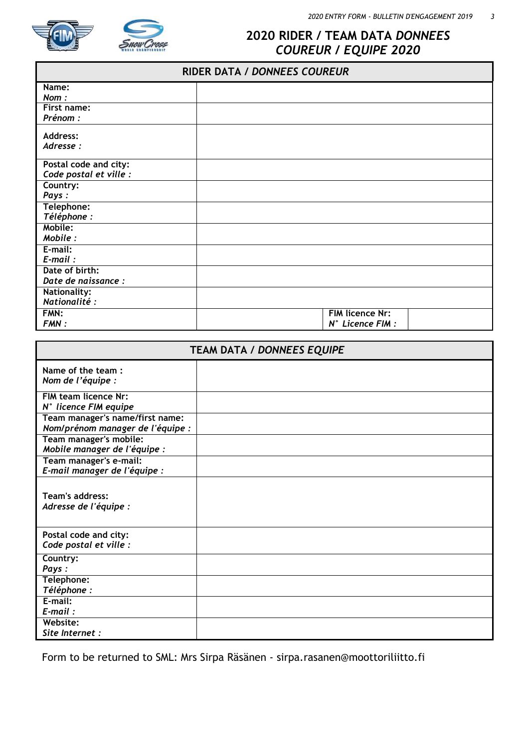## **2020 RIDER / TEAM DATA** *DONNEES COUREUR / EQUIPE 2020*

| <b>RIDER DATA / DONNEES COUREUR</b> |                 |  |
|-------------------------------------|-----------------|--|
| Name:                               |                 |  |
| Nom:                                |                 |  |
| First name:                         |                 |  |
| Prénom :                            |                 |  |
| <b>Address:</b>                     |                 |  |
| Adresse:                            |                 |  |
| Postal code and city:               |                 |  |
| Code postal et ville :              |                 |  |
| Country:                            |                 |  |
| Pays:                               |                 |  |
| Telephone:                          |                 |  |
| Téléphone :                         |                 |  |
| Mobile:                             |                 |  |
| Mobile:                             |                 |  |
| E-mail:                             |                 |  |
| $E$ -mail:                          |                 |  |
| Date of birth:                      |                 |  |
| Date de naissance :                 |                 |  |
| <b>Nationality:</b>                 |                 |  |
| Nationalité :                       |                 |  |
| FMN:                                | FIM licence Nr: |  |
| FMN:                                | N° Licence FIM: |  |

| <b>TEAM DATA / DONNEES EQUIPE</b>                      |  |
|--------------------------------------------------------|--|
| Name of the team:                                      |  |
| Nom de l'équipe :                                      |  |
| FIM team licence Nr:                                   |  |
| N° licence FIM equipe                                  |  |
| Team manager's name/first name:                        |  |
| Nom/prénom manager de l'équipe :                       |  |
| Team manager's mobile:                                 |  |
| Mobile manager de l'équipe :<br>Team manager's e-mail: |  |
| E-mail manager de l'équipe :                           |  |
|                                                        |  |
| Team's address:                                        |  |
| Adresse de l'équipe :                                  |  |
|                                                        |  |
| Postal code and city:                                  |  |
| Code postal et ville :                                 |  |
| Country:                                               |  |
| Pays:                                                  |  |
| Telephone:                                             |  |
| Téléphone :                                            |  |
| E-mail:                                                |  |
| $E$ -mail:                                             |  |
| Website:                                               |  |
| Site Internet :                                        |  |

Form to be returned to SML: Mrs Sirpa Räsänen - sirpa.rasanen@moottoriliitto.fi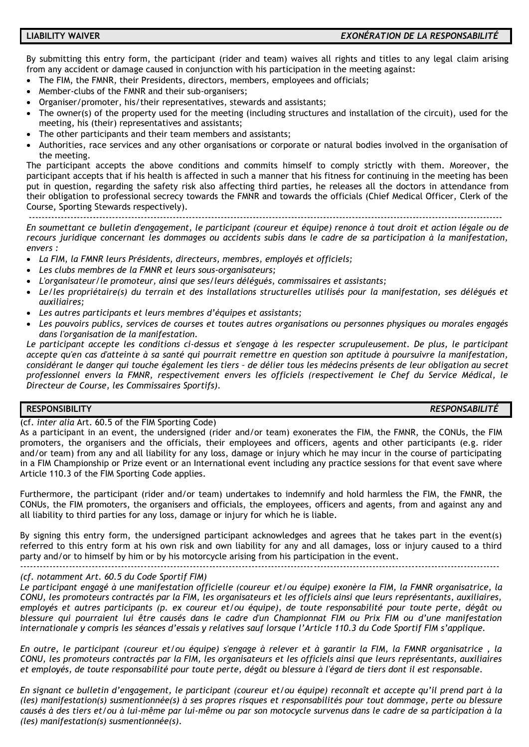By submitting this entry form, the participant (rider and team) waives all rights and titles to any legal claim arising from any accident or damage caused in conjunction with his participation in the meeting against:

- The FIM, the FMNR, their Presidents, directors, members, employees and officials;
- Member-clubs of the FMNR and their sub-organisers;
- Organiser/promoter, his/their representatives, stewards and assistants;
- The owner(s) of the property used for the meeting (including structures and installation of the circuit), used for the meeting, his (their) representatives and assistants;
- The other participants and their team members and assistants;
- Authorities, race services and any other organisations or corporate or natural bodies involved in the organisation of the meeting.

The participant accepts the above conditions and commits himself to comply strictly with them. Moreover, the participant accepts that if his health is affected in such a manner that his fitness for continuing in the meeting has been put in question, regarding the safety risk also affecting third parties, he releases all the doctors in attendance from their obligation to professional secrecy towards the FMNR and towards the officials (Chief Medical Officer, Clerk of the Course, Sporting Stewards respectively).

----------------------------------------------------------------------------------------------------------------------------------------------------

*En soumettant ce bulletin d'engagement, le participant (coureur et équipe) renonce à tout droit et action légale ou de recours juridique concernant les dommages ou accidents subis dans le cadre de sa participation à la manifestation, envers :* 

- *La FIM, la FMNR leurs Présidents, directeurs, membres, employés et officiels;*
- *Les clubs membres de la FMNR et leurs sous-organisateurs;*
- *L'organisateur/le promoteur, ainsi que ses/leurs délégués, commissaires et assistants;*
- *Le/les propriétaire(s) du terrain et des installations structurelles utilisés pour la manifestation, ses délégués et auxiliaires;*
- *Les autres participants et leurs membres d'équipes et assistants;*
- *Les pouvoirs publics, services de courses et toutes autres organisations ou personnes physiques ou morales engagés dans l'organisation de la manifestation.*

Le participant accepte les conditions ci-dessus et s'engage à les respecter scrupuleusement. De plus, le participant *accepte qu'en cas d'atteinte à sa santé qui pourrait remettre en question son aptitude à poursuivre la manifestation, considérant le danger qui touche également les tiers – de délier tous les médecins présents de leur obligation au secret professionnel envers la FMNR, respectivement envers les officiels (respectivement le Chef du Service Médical, le Directeur de Course, les Commissaires Sportifs).* 

### **RESPONSIBILITY** *RESPONSABILITÉ*

(cf. *inter alia* Art. 60.5 of the FIM Sporting Code)

As a participant in an event, the undersigned (rider and/or team) exonerates the FIM, the FMNR, the CONUs, the FIM promoters, the organisers and the officials, their employees and officers, agents and other participants (e.g. rider and/or team) from any and all liability for any loss, damage or injury which he may incur in the course of participating in a FIM Championship or Prize event or an International event including any practice sessions for that event save where Article 110.3 of the FIM Sporting Code applies.

Furthermore, the participant (rider and/or team) undertakes to indemnify and hold harmless the FIM, the FMNR, the CONUs, the FIM promoters, the organisers and officials, the employees, officers and agents, from and against any and all liability to third parties for any loss, damage or injury for which he is liable.

By signing this entry form, the undersigned participant acknowledges and agrees that he takes part in the event(s) referred to this entry form at his own risk and own liability for any and all damages, loss or injury caused to a third party and/or to himself by him or by his motorcycle arising from his participation in the event.

---------------------------------------------------------------------------------------------------------------------------------------------------

#### *(cf. notamment Art. 60.5 du Code Sportif FIM)*

*Le participant engagé à une manifestation officielle (coureur et/ou équipe) exonère la FIM, la FMNR organisatrice, la CONU, les promoteurs contractés par la FIM, les organisateurs et les officiels ainsi que leurs représentants, auxiliaires, employés et autres participants (p. ex coureur et/ou équipe), de toute responsabilité pour toute perte, dégât ou blessure qui pourraient lui être causés dans le cadre d'un Championnat FIM ou Prix FIM ou d'une manifestation internationale y compris les séances d'essais y relatives sauf lorsque l'Article 110.3 du Code Sportif FIM s'applique.*

*En outre, le participant (coureur et/ou équipe) s'engage à relever et à garantir la FIM, la FMNR organisatrice , la CONU, les promoteurs contractés par la FIM, les organisateurs et les officiels ainsi que leurs représentants, auxiliaires et employés, de toute responsabilité pour toute perte, dégât ou blessure à l'égard de tiers dont il est responsable.* 

*En signant ce bulletin d'engagement, le participant (coureur et/ou équipe) reconnaît et accepte qu'il prend part à la (les) manifestation(s) susmentionnée(s) à ses propres risques et responsabilités pour tout dommage, perte ou blessure causés à des tiers et/ou à lui-même par lui-même ou par son motocycle survenus dans le cadre de sa participation à la (les) manifestation(s) susmentionnée(s).*